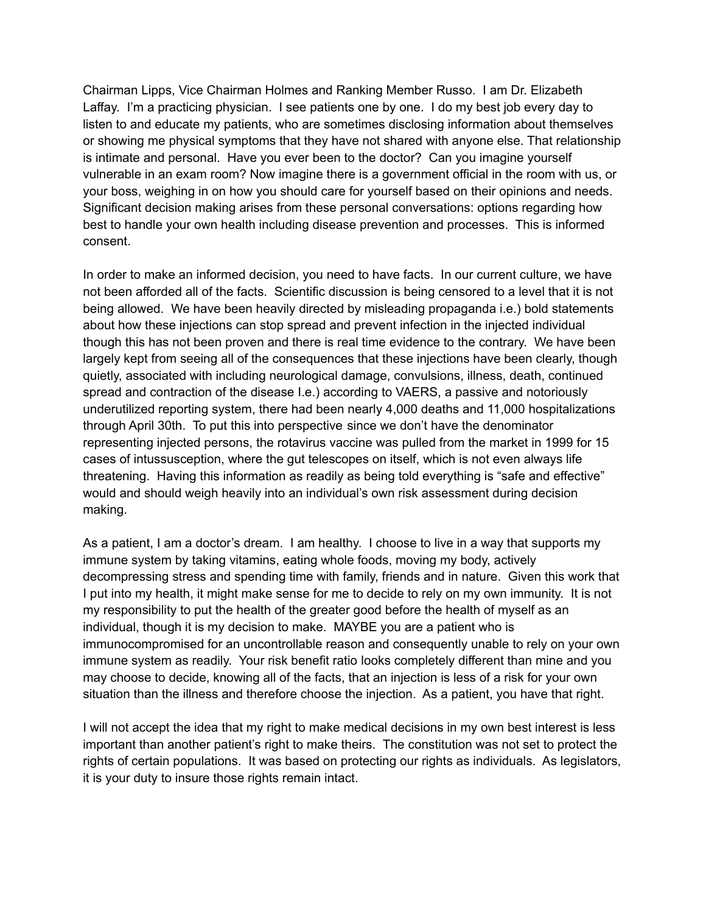Chairman Lipps, Vice Chairman Holmes and Ranking Member Russo. I am Dr. Elizabeth Laffay. I'm a practicing physician. I see patients one by one. I do my best job every day to listen to and educate my patients, who are sometimes disclosing information about themselves or showing me physical symptoms that they have not shared with anyone else. That relationship is intimate and personal. Have you ever been to the doctor? Can you imagine yourself vulnerable in an exam room? Now imagine there is a government official in the room with us, or your boss, weighing in on how you should care for yourself based on their opinions and needs. Significant decision making arises from these personal conversations: options regarding how best to handle your own health including disease prevention and processes. This is informed consent.

In order to make an informed decision, you need to have facts. In our current culture, we have not been afforded all of the facts. Scientific discussion is being censored to a level that it is not being allowed. We have been heavily directed by misleading propaganda i.e.) bold statements about how these injections can stop spread and prevent infection in the injected individual though this has not been proven and there is real time evidence to the contrary. We have been largely kept from seeing all of the consequences that these injections have been clearly, though quietly, associated with including neurological damage, convulsions, illness, death, continued spread and contraction of the disease I.e.) according to VAERS, a passive and notoriously underutilized reporting system, there had been nearly 4,000 deaths and 11,000 hospitalizations through April 30th. To put this into perspective since we don't have the denominator representing injected persons, the rotavirus vaccine was pulled from the market in 1999 for 15 cases of intussusception, where the gut telescopes on itself, which is not even always life threatening. Having this information as readily as being told everything is "safe and effective" would and should weigh heavily into an individual's own risk assessment during decision making.

As a patient, I am a doctor's dream. I am healthy. I choose to live in a way that supports my immune system by taking vitamins, eating whole foods, moving my body, actively decompressing stress and spending time with family, friends and in nature. Given this work that I put into my health, it might make sense for me to decide to rely on my own immunity. It is not my responsibility to put the health of the greater good before the health of myself as an individual, though it is my decision to make. MAYBE you are a patient who is immunocompromised for an uncontrollable reason and consequently unable to rely on your own immune system as readily. Your risk benefit ratio looks completely different than mine and you may choose to decide, knowing all of the facts, that an injection is less of a risk for your own situation than the illness and therefore choose the injection. As a patient, you have that right.

I will not accept the idea that my right to make medical decisions in my own best interest is less important than another patient's right to make theirs. The constitution was not set to protect the rights of certain populations. It was based on protecting our rights as individuals. As legislators, it is your duty to insure those rights remain intact.